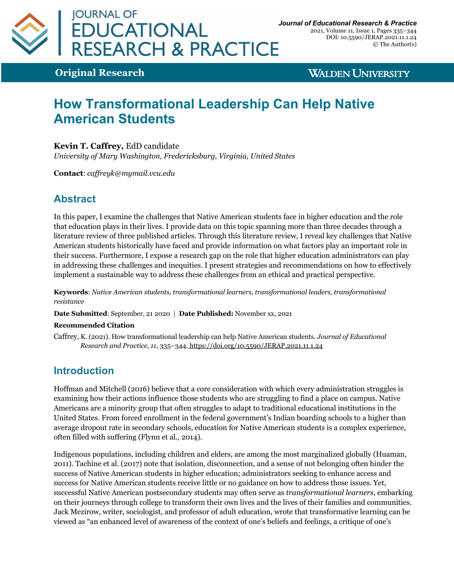

2021, Volume 11, Issue 1, Pages 335–344 DOI: 10.5590/JERAP.2021.11.1.24 © The Author(s)

**Original Research**

**WALDEN UNIVERSITY** 

# **How Transformational Leadership Can Help Native American Students**

#### **Kevin T. Caffrey,** EdD candidate

*University of Mary Washington, Fredericksburg, Virginia, United States*

**Contact**: *caffreyk@mymail.vcu.edu*

# **Abstract**

In this paper, I examine the challenges that Native American students face in higher education and the role that education plays in their lives. I provide data on this topic spanning more than three decades through a literature review of three published articles. Through this literature review, I reveal key challenges that Native American students historically have faced and provide information on what factors play an important role in their success. Furthermore, I expose a research gap on the role that higher education administrators can play in addressing these challenges and inequities. I present strategies and recommendations on how to effectively implement a sustainable way to address these challenges from an ethical and practical perspective.

**Keywords**: *Native American students, transformational learners, transformational leaders, transformational resistance*

**Date Submitted**: September, 21 2020 | **Date Published:** November xx, 2021

#### **Recommended Citation**

Caffrey, K. (2021). How transformational leadership can help Native American students. *Journal of Educational Research and Practice, 11*, 335–344. https://doi.org/10.5590/JERAP.2021.11.1.24

### **Introduction**

Hoffman and Mitchell (2016) believe that a core consideration with which every administration struggles is examining how their actions influence those students who are struggling to find a place on campus. Native Americans are a minority group that often struggles to adapt to traditional educational institutions in the United States. From forced enrollment in the federal government's Indian boarding schools to a higher than average dropout rate in secondary schools, education for Native American students is a complex experience, often filled with suffering (Flynn et al., 2014).

Indigenous populations, including children and elders, are among the most marginalized globally (Huaman, 2011). Tachine et al. (2017) note that isolation, disconnection, and a sense of not belonging often hinder the success of Native American students in higher education; administrators seeking to enhance access and success for Native American students receive little or no guidance on how to address those issues. Yet, successful Native American postsecondary students may often serve as *transformational learners*, embarking on their journeys through college to transform their own lives and the lives of their families and communities. Jack Mezirow, writer, sociologist, and professor of adult education, wrote that transformative learning can be viewed as "an enhanced level of awareness of the context of one's beliefs and feelings, a critique of one's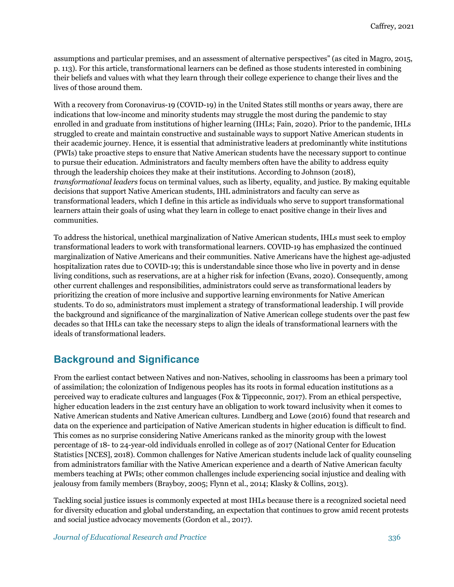assumptions and particular premises, and an assessment of alternative perspectives" (as cited in Magro, 2015, p. 113). For this article, transformational learners can be defined as those students interested in combining their beliefs and values with what they learn through their college experience to change their lives and the lives of those around them.

With a recovery from Coronavirus-19 (COVID-19) in the United States still months or years away, there are indications that low-income and minority students may struggle the most during the pandemic to stay enrolled in and graduate from institutions of higher learning (IHLs; Fain, 2020). Prior to the pandemic, IHLs struggled to create and maintain constructive and sustainable ways to support Native American students in their academic journey. Hence, it is essential that administrative leaders at predominantly white institutions (PWIs) take proactive steps to ensure that Native American students have the necessary support to continue to pursue their education. Administrators and faculty members often have the ability to address equity through the leadership choices they make at their institutions. According to Johnson (2018), *transformational leaders* focus on terminal values, such as liberty, equality, and justice. By making equitable decisions that support Native American students, IHL administrators and faculty can serve as transformational leaders, which I define in this article as individuals who serve to support transformational learners attain their goals of using what they learn in college to enact positive change in their lives and communities.

To address the historical, unethical marginalization of Native American students, IHLs must seek to employ transformational leaders to work with transformational learners. COVID-19 has emphasized the continued marginalization of Native Americans and their communities. Native Americans have the highest age-adjusted hospitalization rates due to COVID-19; this is understandable since those who live in poverty and in dense living conditions, such as reservations, are at a higher risk for infection (Evans, 2020). Consequently, among other current challenges and responsibilities, administrators could serve as transformational leaders by prioritizing the creation of more inclusive and supportive learning environments for Native American students. To do so, administrators must implement a strategy of transformational leadership. I will provide the background and significance of the marginalization of Native American college students over the past few decades so that IHLs can take the necessary steps to align the ideals of transformational learners with the ideals of transformational leaders.

#### **Background and Significance**

From the earliest contact between Natives and non-Natives, schooling in classrooms has been a primary tool of assimilation; the colonization of Indigenous peoples has its roots in formal education institutions as a perceived way to eradicate cultures and languages (Fox & Tippeconnic, 2017). From an ethical perspective, higher education leaders in the 21st century have an obligation to work toward inclusivity when it comes to Native American students and Native American cultures. Lundberg and Lowe (2016) found that research and data on the experience and participation of Native American students in higher education is difficult to find. This comes as no surprise considering Native Americans ranked as the minority group with the lowest percentage of 18- to 24-year-old individuals enrolled in college as of 2017 (National Center for Education Statistics [NCES], 2018). Common challenges for Native American students include lack of quality counseling from administrators familiar with the Native American experience and a dearth of Native American faculty members teaching at PWIs; other common challenges include experiencing social injustice and dealing with jealousy from family members (Brayboy, 2005; Flynn et al., 2014; Klasky & Collins, 2013).

Tackling social justice issues is commonly expected at most IHLs because there is a recognized societal need for diversity education and global understanding, an expectation that continues to grow amid recent protests and social justice advocacy movements (Gordon et al., 2017).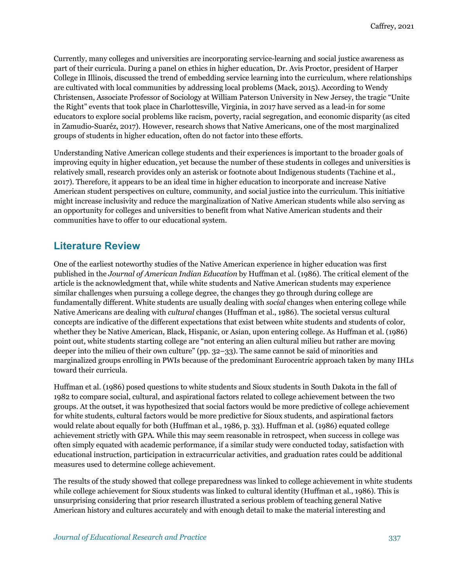Currently, many colleges and universities are incorporating service-learning and social justice awareness as part of their curricula. During a panel on ethics in higher education, Dr. Avis Proctor, president of Harper College in Illinois, discussed the trend of embedding service learning into the curriculum, where relationships are cultivated with local communities by addressing local problems (Mack, 2015). According to Wendy Christensen, Associate Professor of Sociology at William Paterson University in New Jersey, the tragic "Unite the Right" events that took place in Charlottesville, Virginia, in 2017 have served as a lead-in for some educators to explore social problems like racism, poverty, racial segregation, and economic disparity (as cited in Zamudio-Suaréz, 2017). However, research shows that Native Americans, one of the most marginalized groups of students in higher education, often do not factor into these efforts.

Understanding Native American college students and their experiences is important to the broader goals of improving equity in higher education, yet because the number of these students in colleges and universities is relatively small, research provides only an asterisk or footnote about Indigenous students (Tachine et al., 2017). Therefore, it appears to be an ideal time in higher education to incorporate and increase Native American student perspectives on culture, community, and social justice into the curriculum. This initiative might increase inclusivity and reduce the marginalization of Native American students while also serving as an opportunity for colleges and universities to benefit from what Native American students and their communities have to offer to our educational system.

## **Literature Review**

One of the earliest noteworthy studies of the Native American experience in higher education was first published in the *Journal of American Indian Education* by Huffman et al. (1986). The critical element of the article is the acknowledgment that, while white students and Native American students may experience similar challenges when pursuing a college degree, the changes they go through during college are fundamentally different. White students are usually dealing with *social* changes when entering college while Native Americans are dealing with *cultural* changes (Huffman et al., 1986). The societal versus cultural concepts are indicative of the different expectations that exist between white students and students of color, whether they be Native American, Black, Hispanic, or Asian, upon entering college. As Huffman et al. (1986) point out, white students starting college are "not entering an alien cultural milieu but rather are moving deeper into the milieu of their own culture" (pp. 32–33). The same cannot be said of minorities and marginalized groups enrolling in PWIs because of the predominant Eurocentric approach taken by many IHLs toward their curricula.

Huffman et al. (1986) posed questions to white students and Sioux students in South Dakota in the fall of 1982 to compare social, cultural, and aspirational factors related to college achievement between the two groups. At the outset, it was hypothesized that social factors would be more predictive of college achievement for white students, cultural factors would be more predictive for Sioux students, and aspirational factors would relate about equally for both (Huffman et al., 1986, p. 33). Huffman et al. (1986) equated college achievement strictly with GPA. While this may seem reasonable in retrospect, when success in college was often simply equated with academic performance, if a similar study were conducted today, satisfaction with educational instruction, participation in extracurricular activities, and graduation rates could be additional measures used to determine college achievement.

The results of the study showed that college preparedness was linked to college achievement in white students while college achievement for Sioux students was linked to cultural identity (Huffman et al., 1986). This is unsurprising considering that prior research illustrated a serious problem of teaching general Native American history and cultures accurately and with enough detail to make the material interesting and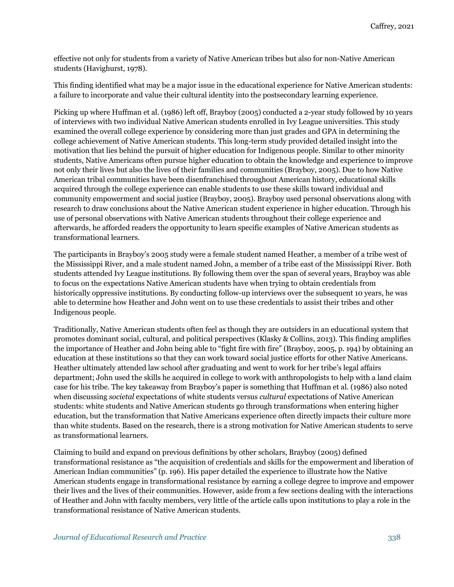effective not only for students from a variety of Native American tribes but also for non-Native American students (Havighurst, 1978).

This finding identified what may be a major issue in the educational experience for Native American students: a failure to incorporate and value their cultural identity into the postsecondary learning experience.

Picking up where Huffman et al. (1986) left off, Brayboy (2005) conducted a 2-year study followed by 10 years of interviews with two individual Native American students enrolled in Ivy League universities. This study examined the overall college experience by considering more than just grades and GPA in determining the college achievement of Native American students. This long-term study provided detailed insight into the motivation that lies behind the pursuit of higher education for Indigenous people. Similar to other minority students, Native Americans often pursue higher education to obtain the knowledge and experience to improve not only their lives but also the lives of their families and communities (Brayboy, 2005). Due to how Native American tribal communities have been disenfranchised throughout American history, educational skills acquired through the college experience can enable students to use these skills toward individual and community empowerment and social justice (Brayboy, 2005). Brayboy used personal observations along with research to draw conclusions about the Native American student experience in higher education. Through his use of personal observations with Native American students throughout their college experience and afterwards, he afforded readers the opportunity to learn specific examples of Native American students as transformational learners.

The participants in Brayboy's 2005 study were a female student named Heather, a member of a tribe west of the Mississippi River, and a male student named John, a member of a tribe east of the Mississippi River. Both students attended Ivy League institutions. By following them over the span of several years, Brayboy was able to focus on the expectations Native American students have when trying to obtain credentials from historically oppressive institutions. By conducting follow-up interviews over the subsequent 10 years, he was able to determine how Heather and John went on to use these credentials to assist their tribes and other Indigenous people.

Traditionally, Native American students often feel as though they are outsiders in an educational system that promotes dominant social, cultural, and political perspectives (Klasky & Collins, 2013). This finding amplifies the importance of Heather and John being able to "fight fire with fire" (Brayboy, 2005, p. 194) by obtaining an education at these institutions so that they can work toward social justice efforts for other Native Americans. Heather ultimately attended law school after graduating and went to work for her tribe's legal affairs department; John used the skills he acquired in college to work with anthropologists to help with a land claim case for his tribe. The key takeaway from Brayboy's paper is something that Huffman et al. (1986) also noted when discussing *societal* expectations of white students versus *cultural* expectations of Native American students: white students and Native American students go through transformations when entering higher education, but the transformation that Native Americans experience often directly impacts their culture more than white students. Based on the research, there is a strong motivation for Native American students to serve as transformational learners.

Claiming to build and expand on previous definitions by other scholars, Brayboy (2005) defined transformational resistance as "the acquisition of credentials and skills for the empowerment and liberation of American Indian communities" (p. 196). His paper detailed the experience to illustrate how the Native American students engage in transformational resistance by earning a college degree to improve and empower their lives and the lives of their communities. However, aside from a few sections dealing with the interactions of Heather and John with faculty members, very little of the article calls upon institutions to play a role in the transformational resistance of Native American students.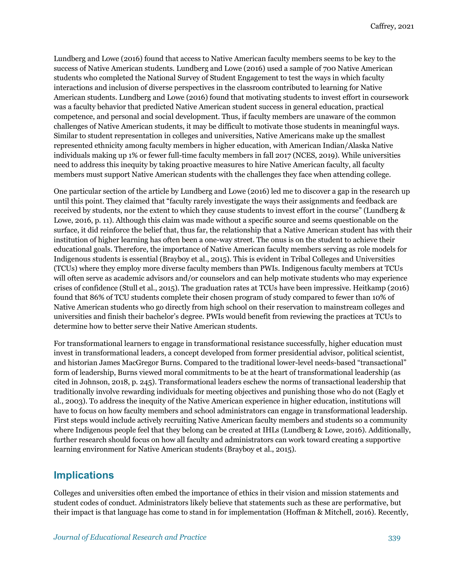Lundberg and Lowe (2016) found that access to Native American faculty members seems to be key to the success of Native American students. Lundberg and Lowe (2016) used a sample of 700 Native American students who completed the National Survey of Student Engagement to test the ways in which faculty interactions and inclusion of diverse perspectives in the classroom contributed to learning for Native American students. Lundberg and Lowe (2016) found that motivating students to invest effort in coursework was a faculty behavior that predicted Native American student success in general education, practical competence, and personal and social development. Thus, if faculty members are unaware of the common challenges of Native American students, it may be difficult to motivate those students in meaningful ways. Similar to student representation in colleges and universities, Native Americans make up the smallest represented ethnicity among faculty members in higher education, with American Indian/Alaska Native individuals making up 1% or fewer full-time faculty members in fall 2017 (NCES, 2019). While universities need to address this inequity by taking proactive measures to hire Native American faculty, all faculty members must support Native American students with the challenges they face when attending college.

One particular section of the article by Lundberg and Lowe (2016) led me to discover a gap in the research up until this point. They claimed that "faculty rarely investigate the ways their assignments and feedback are received by students, nor the extent to which they cause students to invest effort in the course" (Lundberg & Lowe, 2016, p. 11). Although this claim was made without a specific source and seems questionable on the surface, it did reinforce the belief that, thus far, the relationship that a Native American student has with their institution of higher learning has often been a one-way street. The onus is on the student to achieve their educational goals. Therefore, the importance of Native American faculty members serving as role models for Indigenous students is essential (Brayboy et al., 2015). This is evident in Tribal Colleges and Universities (TCUs) where they employ more diverse faculty members than PWIs. Indigenous faculty members at TCUs will often serve as academic advisors and/or counselors and can help motivate students who may experience crises of confidence (Stull et al., 2015). The graduation rates at TCUs have been impressive. Heitkamp (2016) found that 86% of TCU students complete their chosen program of study compared to fewer than 10% of Native American students who go directly from high school on their reservation to mainstream colleges and universities and finish their bachelor's degree. PWIs would benefit from reviewing the practices at TCUs to determine how to better serve their Native American students.

For transformational learners to engage in transformational resistance successfully, higher education must invest in transformational leaders, a concept developed from former presidential advisor, political scientist, and historian James MacGregor Burns. Compared to the traditional lower-level needs-based "transactional" form of leadership, Burns viewed moral commitments to be at the heart of transformational leadership (as cited in Johnson, 2018, p. 245). Transformational leaders eschew the norms of transactional leadership that traditionally involve rewarding individuals for meeting objectives and punishing those who do not (Eagly et al., 2003). To address the inequity of the Native American experience in higher education, institutions will have to focus on how faculty members and school administrators can engage in transformational leadership. First steps would include actively recruiting Native American faculty members and students so a community where Indigenous people feel that they belong can be created at IHLs (Lundberg & Lowe, 2016). Additionally, further research should focus on how all faculty and administrators can work toward creating a supportive learning environment for Native American students (Brayboy et al., 2015).

#### **Implications**

Colleges and universities often embed the importance of ethics in their vision and mission statements and student codes of conduct. Administrators likely believe that statements such as these are performative, but their impact is that language has come to stand in for implementation (Hoffman & Mitchell, 2016). Recently,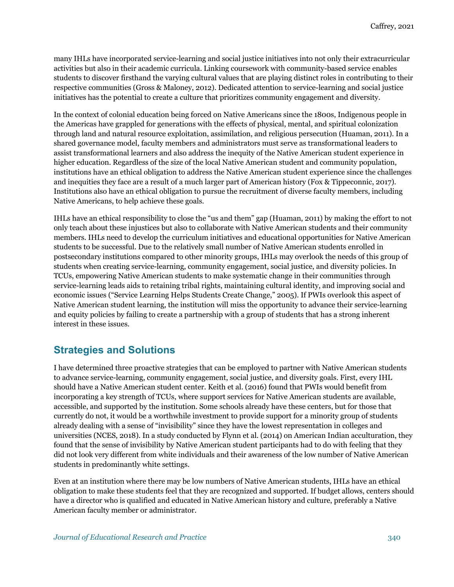many IHLs have incorporated service-learning and social justice initiatives into not only their extracurricular activities but also in their academic curricula. Linking coursework with community-based service enables students to discover firsthand the varying cultural values that are playing distinct roles in contributing to their respective communities (Gross & Maloney, 2012). Dedicated attention to service-learning and social justice initiatives has the potential to create a culture that prioritizes community engagement and diversity.

In the context of colonial education being forced on Native Americans since the 1800s, Indigenous people in the Americas have grappled for generations with the effects of physical, mental, and spiritual colonization through land and natural resource exploitation, assimilation, and religious persecution (Huaman, 2011). In a shared governance model, faculty members and administrators must serve as transformational leaders to assist transformational learners and also address the inequity of the Native American student experience in higher education. Regardless of the size of the local Native American student and community population, institutions have an ethical obligation to address the Native American student experience since the challenges and inequities they face are a result of a much larger part of American history (Fox & Tippeconnic, 2017). Institutions also have an ethical obligation to pursue the recruitment of diverse faculty members, including Native Americans, to help achieve these goals.

IHLs have an ethical responsibility to close the "us and them" gap (Huaman, 2011) by making the effort to not only teach about these injustices but also to collaborate with Native American students and their community members. IHLs need to develop the curriculum initiatives and educational opportunities for Native American students to be successful. Due to the relatively small number of Native American students enrolled in postsecondary institutions compared to other minority groups, IHLs may overlook the needs of this group of students when creating service-learning, community engagement, social justice, and diversity policies. In TCUs, empowering Native American students to make systematic change in their communities through service-learning leads aids to retaining tribal rights, maintaining cultural identity, and improving social and economic issues ("Service Learning Helps Students Create Change," 2005). If PWIs overlook this aspect of Native American student learning, the institution will miss the opportunity to advance their service-learning and equity policies by failing to create a partnership with a group of students that has a strong inherent interest in these issues.

# **Strategies and Solutions**

I have determined three proactive strategies that can be employed to partner with Native American students to advance service-learning, community engagement, social justice, and diversity goals. First, every IHL should have a Native American student center. Keith et al. (2016) found that PWIs would benefit from incorporating a key strength of TCUs, where support services for Native American students are available, accessible, and supported by the institution. Some schools already have these centers, but for those that currently do not, it would be a worthwhile investment to provide support for a minority group of students already dealing with a sense of "invisibility" since they have the lowest representation in colleges and universities (NCES, 2018). In a study conducted by Flynn et al. (2014) on American Indian acculturation, they found that the sense of invisibility by Native American student participants had to do with feeling that they did not look very different from white individuals and their awareness of the low number of Native American students in predominantly white settings.

Even at an institution where there may be low numbers of Native American students, IHLs have an ethical obligation to make these students feel that they are recognized and supported. If budget allows, centers should have a director who is qualified and educated in Native American history and culture, preferably a Native American faculty member or administrator.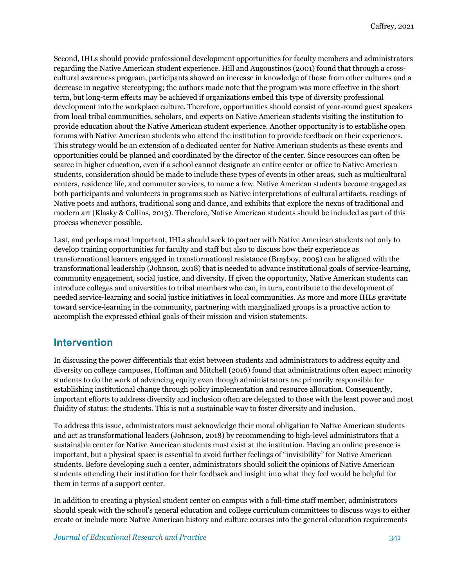Second, IHLs should provide professional development opportunities for faculty members and administrators regarding the Native American student experience. Hill and Augoustinos (2001) found that through a crosscultural awareness program, participants showed an increase in knowledge of those from other cultures and a decrease in negative stereotyping; the authors made note that the program was more effective in the short term, but long-term effects may be achieved if organizations embed this type of diversity professional development into the workplace culture. Therefore, opportunities should consist of year-round guest speakers from local tribal communities, scholars, and experts on Native American students visiting the institution to provide education about the Native American student experience. Another opportunity is to establishe open forums with Native American students who attend the institution to provide feedback on their experiences. This strategy would be an extension of a dedicated center for Native American students as these events and opportunities could be planned and coordinated by the director of the center. Since resources can often be scarce in higher education, even if a school cannot designate an entire center or office to Native American students, consideration should be made to include these types of events in other areas, such as multicultural centers, residence life, and commuter services, to name a few. Native American students become engaged as both participants and volunteers in programs such as Native interpretations of cultural artifacts, readings of Native poets and authors, traditional song and dance, and exhibits that explore the nexus of traditional and modern art (Klasky & Collins, 2013). Therefore, Native American students should be included as part of this process whenever possible.

Last, and perhaps most important, IHLs should seek to partner with Native American students not only to develop training opportunities for faculty and staff but also to discuss how their experience as transformational learners engaged in transformational resistance (Brayboy, 2005) can be aligned with the transformational leadership (Johnson, 2018) that is needed to advance institutional goals of service-learning, community engagement, social justice, and diversity. If given the opportunity, Native American students can introduce colleges and universities to tribal members who can, in turn, contribute to the development of needed service-learning and social justice initiatives in local communities. As more and more IHLs gravitate toward service-learning in the community, partnering with marginalized groups is a proactive action to accomplish the expressed ethical goals of their mission and vision statements.

#### **Intervention**

In discussing the power differentials that exist between students and administrators to address equity and diversity on college campuses, Hoffman and Mitchell (2016) found that administrations often expect minority students to do the work of advancing equity even though administrators are primarily responsible for establishing institutional change through policy implementation and resource allocation. Consequently, important efforts to address diversity and inclusion often are delegated to those with the least power and most fluidity of status: the students. This is not a sustainable way to foster diversity and inclusion.

To address this issue, administrators must acknowledge their moral obligation to Native American students and act as transformational leaders (Johnson, 2018) by recommending to high-level administrators that a sustainable center for Native American students must exist at the institution. Having an online presence is important, but a physical space is essential to avoid further feelings of "invisibility" for Native American students. Before developing such a center, administrators should solicit the opinions of Native American students attending their institution for their feedback and insight into what they feel would be helpful for them in terms of a support center.

In addition to creating a physical student center on campus with a full-time staff member, administrators should speak with the school's general education and college curriculum committees to discuss ways to either create or include more Native American history and culture courses into the general education requirements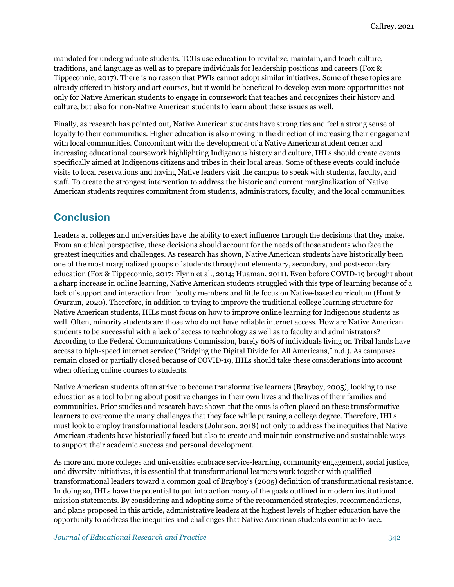mandated for undergraduate students. TCUs use education to revitalize, maintain, and teach culture, traditions, and language as well as to prepare individuals for leadership positions and careers (Fox & Tippeconnic, 2017). There is no reason that PWIs cannot adopt similar initiatives. Some of these topics are already offered in history and art courses, but it would be beneficial to develop even more opportunities not only for Native American students to engage in coursework that teaches and recognizes their history and culture, but also for non-Native American students to learn about these issues as well.

Finally, as research has pointed out, Native American students have strong ties and feel a strong sense of loyalty to their communities. Higher education is also moving in the direction of increasing their engagement with local communities. Concomitant with the development of a Native American student center and increasing educational coursework highlighting Indigenous history and culture, IHLs should create events specifically aimed at Indigenous citizens and tribes in their local areas. Some of these events could include visits to local reservations and having Native leaders visit the campus to speak with students, faculty, and staff. To create the strongest intervention to address the historic and current marginalization of Native American students requires commitment from students, administrators, faculty, and the local communities.

### **Conclusion**

Leaders at colleges and universities have the ability to exert influence through the decisions that they make. From an ethical perspective, these decisions should account for the needs of those students who face the greatest inequities and challenges. As research has shown, Native American students have historically been one of the most marginalized groups of students throughout elementary, secondary, and postsecondary education (Fox & Tippeconnic, 2017; Flynn et al., 2014; Huaman, 2011). Even before COVID-19 brought about a sharp increase in online learning, Native American students struggled with this type of learning because of a lack of support and interaction from faculty members and little focus on Native-based curriculum (Hunt & Oyarzun, 2020). Therefore, in addition to trying to improve the traditional college learning structure for Native American students, IHLs must focus on how to improve online learning for Indigenous students as well. Often, minority students are those who do not have reliable internet access. How are Native American students to be successful with a lack of access to technology as well as to faculty and administrators? According to the Federal Communications Commission, barely 60% of individuals living on Tribal lands have access to high-speed internet service ("Bridging the Digital Divide for All Americans," n.d.). As campuses remain closed or partially closed because of COVID-19, IHLs should take these considerations into account when offering online courses to students.

Native American students often strive to become transformative learners (Brayboy, 2005), looking to use education as a tool to bring about positive changes in their own lives and the lives of their families and communities. Prior studies and research have shown that the onus is often placed on these transformative learners to overcome the many challenges that they face while pursuing a college degree. Therefore, IHLs must look to employ transformational leaders (Johnson, 2018) not only to address the inequities that Native American students have historically faced but also to create and maintain constructive and sustainable ways to support their academic success and personal development.

As more and more colleges and universities embrace service-learning, community engagement, social justice, and diversity initiatives, it is essential that transformational learners work together with qualified transformational leaders toward a common goal of Brayboy's (2005) definition of transformational resistance. In doing so, IHLs have the potential to put into action many of the goals outlined in modern institutional mission statements. By considering and adopting some of the recommended strategies, recommendations, and plans proposed in this article, administrative leaders at the highest levels of higher education have the opportunity to address the inequities and challenges that Native American students continue to face.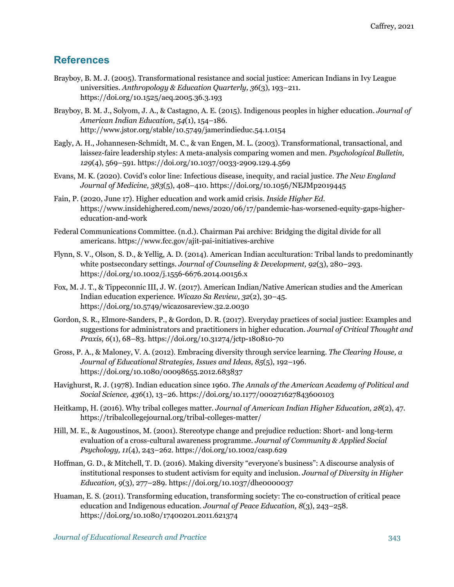### **References**

- Brayboy, B. M. J. (2005). Transformational resistance and social justice: American Indians in Ivy League universities. *Anthropology & Education Quarterly, 36*(3), 193–211. https://doi.org/10.1525/aeq.2005.36.3.193
- Brayboy, B. M. J., Solyom, J. A., & Castagno, A. E. (2015). Indigenous peoples in higher education. *Journal of American Indian Education, 54*(1), 154–186. http://www.jstor.org/stable/10.5749/jamerindieduc.54.1.0154
- Eagly, A. H., Johannesen-Schmidt, M. C., & van Engen, M. L. (2003). Transformational, transactional, and laissez-faire leadership styles: A meta-analysis comparing women and men. *Psychological Bulletin, 129*(4), 569–591. https://doi.org/10.1037/0033-2909.129.4.569
- Evans, M. K. (2020). Covid's color line: Infectious disease, inequity, and racial justice. *The New England Journal of Medicine, 383*(5), 408–410. https://doi.org/10.1056/NEJMp2019445
- Fain, P. (2020, June 17). Higher education and work amid crisis. *Inside Higher Ed.* https://www.insidehighered.com/news/2020/06/17/pandemic-has-worsened-equity-gaps-highereducation-and-work
- Federal Communications Committee. (n.d.). Chairman Pai archive: Bridging the digital divide for all americans. https://www.fcc.gov/ajit-pai-initiatives-archive
- Flynn, S. V., Olson, S. D., & Yellig, A. D. (2014). American Indian acculturation: Tribal lands to predominantly white postsecondary settings. *Journal of Counseling & Development, 92*(3), 280–293. https://doi.org/10.1002/j.1556-6676.2014.00156.x
- Fox, M. J. T., & Tippeconnic III, J. W. (2017). American Indian/Native American studies and the American Indian education experience. *Wicazo Sa Review, 32*(2), 30–45. https://doi.org/10.5749/wicazosareview.32.2.0030
- Gordon, S. R., Elmore-Sanders, P., & Gordon, D. R. (2017). Everyday practices of social justice: Examples and suggestions for administrators and practitioners in higher education. *Journal of Critical Thought and Praxis, 6*(1), 68–83. https://doi.org/10.31274/jctp-180810-70
- Gross, P. A., & Maloney, V. A. (2012). Embracing diversity through service learning. *The Clearing House, a Journal of Educational Strategies, Issues and Ideas, 85*(5), 192–196. https://doi.org/10.1080/00098655.2012.683837
- Havighurst, R. J. (1978). Indian education since 1960. *The Annals of the American Academy of Political and Social Science, 436*(1), 13–26. https://doi.org/10.1177/000271627843600103
- Heitkamp, H. (2016). Why tribal colleges matter. *Journal of American Indian Higher Education, 28*(2), 47. https://tribalcollegejournal.org/tribal-colleges-matter/
- Hill, M. E., & Augoustinos, M. (2001). Stereotype change and prejudice reduction: Short- and long-term evaluation of a cross-cultural awareness programme. *Journal of Community & Applied Social Psychology, 11*(4), 243–262. https://doi.org/10.1002/casp.629
- Hoffman, G. D., & Mitchell, T. D. (2016). Making diversity "everyone's business": A discourse analysis of institutional responses to student activism for equity and inclusion. *Journal of Diversity in Higher Education, 9*(3), 277–289. https://doi.org/10.1037/dhe0000037
- Huaman, E. S. (2011). Transforming education, transforming society: The co-construction of critical peace education and Indigenous education. *Journal of Peace Education, 8*(3), 243–258. https://doi.org/10.1080/17400201.2011.621374